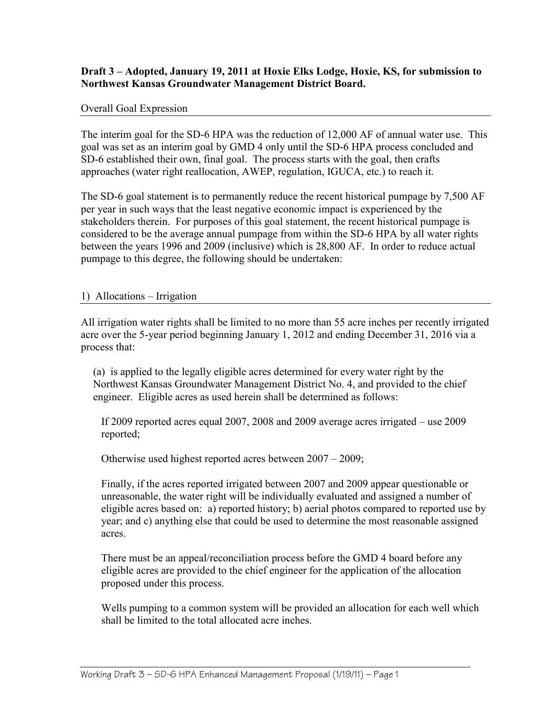## Draft 3 – Adopted, January 19, 2011 at Hoxie Elks Lodge, Hoxie, KS, for submission to Northwest Kansas Groundwater Management District Board.

#### Overall Goal Expression

The interim goal for the SD-6 HPA was the reduction of 12,000 AF of annual water use. This goal was set as an interim goal by GMD 4 only until the SD-6 HPA process concluded and SD-6 established their own, final goal. The process starts with the goal, then crafts approaches (water right reallocation, AWEP, regulation, IGUCA, etc.) to reach it.

The SD-6 goal statement is to permanently reduce the recent historical pumpage by 7,500 AF per year in such ways that the least negative economic impact is experienced by the stakeholders therein. For purposes of this goal statement, the recent historical pumpage is considered to be the average annual pumpage from within the SD-6 HPA by all water rights between the years 1996 and 2009 (inclusive) which is 28,800 AF. In order to reduce actual pumpage to this degree, the following should be undertaken:

#### 1) Allocations – Irrigation

All irrigation water rights shall be limited to no more than 55 acre inches per recently irrigated acre over the 5-year period beginning January 1, 2012 and ending December 31, 2016 via a process that:

(a) is applied to the legally eligible acres determined for every water right by the Northwest Kansas Groundwater Management District No. 4, and provided to the chief engineer. Eligible acres as used herein shall be determined as follows:

If 2009 reported acres equal 2007, 2008 and 2009 average acres irrigated – use 2009 reported;

Otherwise used highest reported acres between 2007 – 2009;

Finally, if the acres reported irrigated between 2007 and 2009 appear questionable or unreasonable, the water right will be individually evaluated and assigned a number of eligible acres based on: a) reported history; b) aerial photos compared to reported use by year; and c) anything else that could be used to determine the most reasonable assigned acres.

There must be an appeal/reconciliation process before the GMD 4 board before any eligible acres are provided to the chief engineer for the application of the allocation proposed under this process.

Wells pumping to a common system will be provided an allocation for each well which shall be limited to the total allocated acre inches.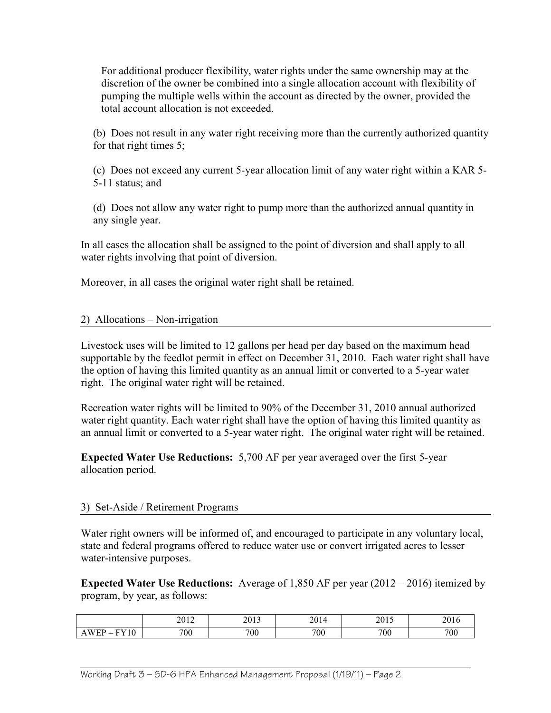For additional producer flexibility, water rights under the same ownership may at the discretion of the owner be combined into a single allocation account with flexibility of pumping the multiple wells within the account as directed by the owner, provided the total account allocation is not exceeded.

(b) Does not result in any water right receiving more than the currently authorized quantity for that right times 5;

(c) Does not exceed any current 5-year allocation limit of any water right within a KAR 5- 5-11 status; and

(d) Does not allow any water right to pump more than the authorized annual quantity in any single year.

In all cases the allocation shall be assigned to the point of diversion and shall apply to all water rights involving that point of diversion.

Moreover, in all cases the original water right shall be retained.

# 2) Allocations – Non-irrigation

Livestock uses will be limited to 12 gallons per head per day based on the maximum head supportable by the feedlot permit in effect on December 31, 2010. Each water right shall have the option of having this limited quantity as an annual limit or converted to a 5-year water right. The original water right will be retained.

Recreation water rights will be limited to 90% of the December 31, 2010 annual authorized water right quantity. Each water right shall have the option of having this limited quantity as an annual limit or converted to a 5-year water right. The original water right will be retained.

Expected Water Use Reductions: 5,700 AF per year averaged over the first 5-year allocation period.

# 3) Set-Aside / Retirement Programs

Water right owners will be informed of, and encouraged to participate in any voluntary local, state and federal programs offered to reduce water use or convert irrigated acres to lesser water-intensive purposes.

Expected Water Use Reductions: Average of 1,850 AF per year (2012 – 2016) itemized by program, by year, as follows:

|                                    | $\bigcap$ 1 $\bigcap$<br>2012 | 2013 | 2014 | 2015 | 2016 |
|------------------------------------|-------------------------------|------|------|------|------|
| <b>FY10</b><br>WEP<br>$\mathbf{A}$ | 700                           | 700  | 700  | 700  | 700  |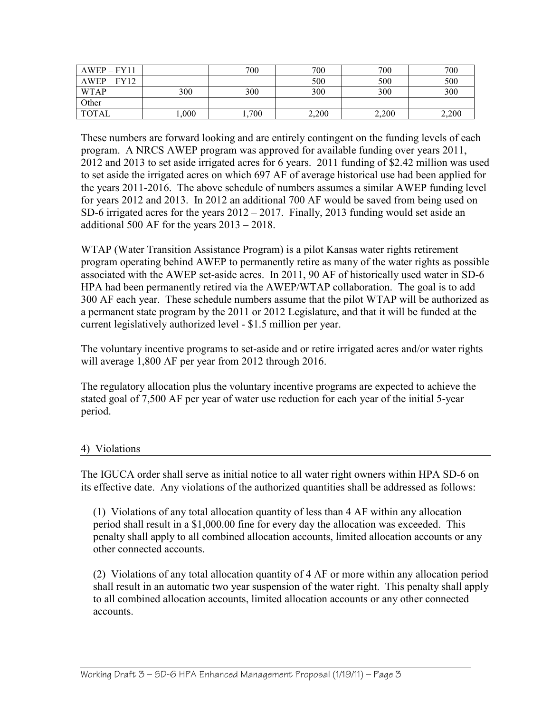| $AWEP - FY11$ |       | 700   | 700   | 700   | 700   |
|---------------|-------|-------|-------|-------|-------|
| $AWEP - FY12$ |       |       | 500   | 500   | 500   |
| <b>WTAP</b>   | 300   | 300   | 300   | 300   | 300   |
| Other         |       |       |       |       |       |
| TOTAL         | ,000, | .,700 | 2,200 | 2,200 | 2,200 |

These numbers are forward looking and are entirely contingent on the funding levels of each program. A NRCS AWEP program was approved for available funding over years 2011, 2012 and 2013 to set aside irrigated acres for 6 years. 2011 funding of \$2.42 million was used to set aside the irrigated acres on which 697 AF of average historical use had been applied for the years 2011-2016. The above schedule of numbers assumes a similar AWEP funding level for years 2012 and 2013. In 2012 an additional 700 AF would be saved from being used on SD-6 irrigated acres for the years 2012 – 2017. Finally, 2013 funding would set aside an additional 500 AF for the years 2013 – 2018.

WTAP (Water Transition Assistance Program) is a pilot Kansas water rights retirement program operating behind AWEP to permanently retire as many of the water rights as possible associated with the AWEP set-aside acres. In 2011, 90 AF of historically used water in SD-6 HPA had been permanently retired via the AWEP/WTAP collaboration. The goal is to add 300 AF each year. These schedule numbers assume that the pilot WTAP will be authorized as a permanent state program by the 2011 or 2012 Legislature, and that it will be funded at the current legislatively authorized level - \$1.5 million per year.

The voluntary incentive programs to set-aside and or retire irrigated acres and/or water rights will average 1,800 AF per year from 2012 through 2016.

The regulatory allocation plus the voluntary incentive programs are expected to achieve the stated goal of 7,500 AF per year of water use reduction for each year of the initial 5-year period.

## 4) Violations

The IGUCA order shall serve as initial notice to all water right owners within HPA SD-6 on its effective date. Any violations of the authorized quantities shall be addressed as follows:

(1) Violations of any total allocation quantity of less than 4 AF within any allocation period shall result in a \$1,000.00 fine for every day the allocation was exceeded. This penalty shall apply to all combined allocation accounts, limited allocation accounts or any other connected accounts.

(2) Violations of any total allocation quantity of 4 AF or more within any allocation period shall result in an automatic two year suspension of the water right. This penalty shall apply to all combined allocation accounts, limited allocation accounts or any other connected accounts.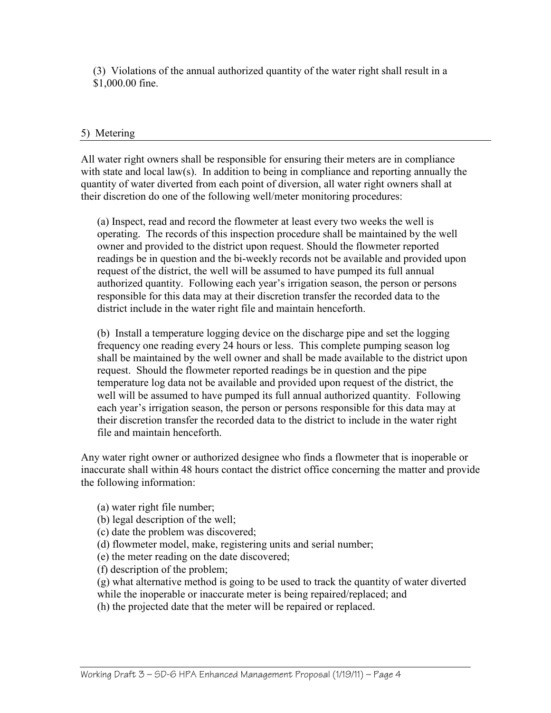(3) Violations of the annual authorized quantity of the water right shall result in a \$1,000.00 fine.

## 5) Metering

All water right owners shall be responsible for ensuring their meters are in compliance with state and local law(s). In addition to being in compliance and reporting annually the quantity of water diverted from each point of diversion, all water right owners shall at their discretion do one of the following well/meter monitoring procedures:

(a) Inspect, read and record the flowmeter at least every two weeks the well is operating. The records of this inspection procedure shall be maintained by the well owner and provided to the district upon request. Should the flowmeter reported readings be in question and the bi-weekly records not be available and provided upon request of the district, the well will be assumed to have pumped its full annual authorized quantity. Following each year's irrigation season, the person or persons responsible for this data may at their discretion transfer the recorded data to the district include in the water right file and maintain henceforth.

(b) Install a temperature logging device on the discharge pipe and set the logging frequency one reading every 24 hours or less. This complete pumping season log shall be maintained by the well owner and shall be made available to the district upon request. Should the flowmeter reported readings be in question and the pipe temperature log data not be available and provided upon request of the district, the well will be assumed to have pumped its full annual authorized quantity. Following each year's irrigation season, the person or persons responsible for this data may at their discretion transfer the recorded data to the district to include in the water right file and maintain henceforth.

Any water right owner or authorized designee who finds a flowmeter that is inoperable or inaccurate shall within 48 hours contact the district office concerning the matter and provide the following information:

(a) water right file number;

- (b) legal description of the well;
- (c) date the problem was discovered;
- (d) flowmeter model, make, registering units and serial number;
- (e) the meter reading on the date discovered;
- (f) description of the problem;

(g) what alternative method is going to be used to track the quantity of water diverted while the inoperable or inaccurate meter is being repaired/replaced; and

(h) the projected date that the meter will be repaired or replaced.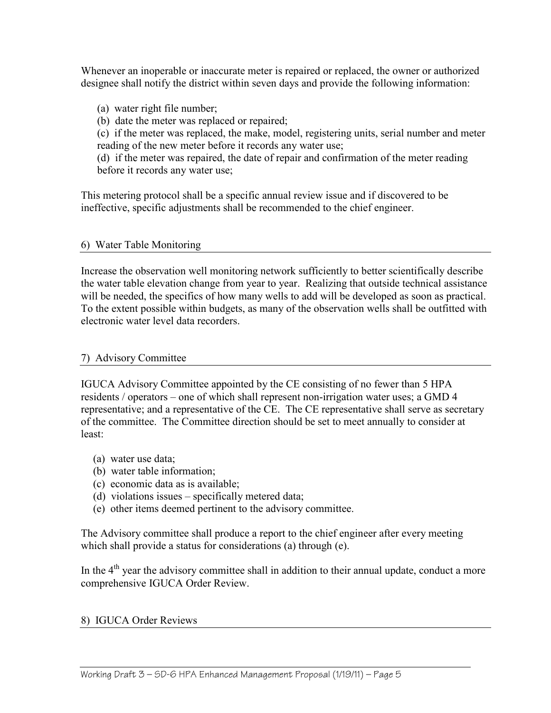Whenever an inoperable or inaccurate meter is repaired or replaced, the owner or authorized designee shall notify the district within seven days and provide the following information:

- (a) water right file number;
- (b) date the meter was replaced or repaired;

(c) if the meter was replaced, the make, model, registering units, serial number and meter reading of the new meter before it records any water use;

(d) if the meter was repaired, the date of repair and confirmation of the meter reading before it records any water use;

This metering protocol shall be a specific annual review issue and if discovered to be ineffective, specific adjustments shall be recommended to the chief engineer.

## 6) Water Table Monitoring

Increase the observation well monitoring network sufficiently to better scientifically describe the water table elevation change from year to year. Realizing that outside technical assistance will be needed, the specifics of how many wells to add will be developed as soon as practical. To the extent possible within budgets, as many of the observation wells shall be outfitted with electronic water level data recorders.

## 7) Advisory Committee

IGUCA Advisory Committee appointed by the CE consisting of no fewer than 5 HPA residents / operators – one of which shall represent non-irrigation water uses; a GMD 4 representative; and a representative of the CE. The CE representative shall serve as secretary of the committee. The Committee direction should be set to meet annually to consider at least:

- (a) water use data;
- (b) water table information;
- (c) economic data as is available;
- (d) violations issues specifically metered data;
- (e) other items deemed pertinent to the advisory committee.

The Advisory committee shall produce a report to the chief engineer after every meeting which shall provide a status for considerations (a) through (e).

In the  $4<sup>th</sup>$  year the advisory committee shall in addition to their annual update, conduct a more comprehensive IGUCA Order Review.

## 8) IGUCA Order Reviews